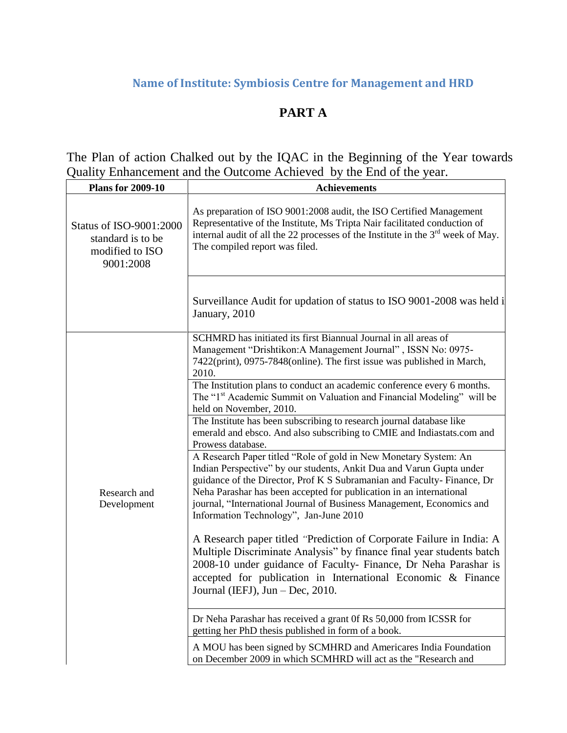# **Name of Institute: Symbiosis Centre for Management and HRD**

# **PART A**

The Plan of action Chalked out by the IQAC in the Beginning of the Year towards Quality Enhancement and the Outcome Achieved by the End of the year.

| <b>Plans for 2009-10</b>                                                     | <b>Achievements</b>                                                                                                                                                                                                                                                                                                                                                                                                                                                                                                                                                                                                                                                                                                                                                                                                                                                                                                                                                                                                                                                                                                                                                                                                                                                                                                                                                                                                                                                                                                                                                                           |  |
|------------------------------------------------------------------------------|-----------------------------------------------------------------------------------------------------------------------------------------------------------------------------------------------------------------------------------------------------------------------------------------------------------------------------------------------------------------------------------------------------------------------------------------------------------------------------------------------------------------------------------------------------------------------------------------------------------------------------------------------------------------------------------------------------------------------------------------------------------------------------------------------------------------------------------------------------------------------------------------------------------------------------------------------------------------------------------------------------------------------------------------------------------------------------------------------------------------------------------------------------------------------------------------------------------------------------------------------------------------------------------------------------------------------------------------------------------------------------------------------------------------------------------------------------------------------------------------------------------------------------------------------------------------------------------------------|--|
| Status of ISO-9001:2000<br>standard is to be<br>modified to ISO<br>9001:2008 | As preparation of ISO 9001:2008 audit, the ISO Certified Management<br>Representative of the Institute, Ms Tripta Nair facilitated conduction of<br>internal audit of all the 22 processes of the Institute in the 3 <sup>rd</sup> week of May.<br>The compiled report was filed.                                                                                                                                                                                                                                                                                                                                                                                                                                                                                                                                                                                                                                                                                                                                                                                                                                                                                                                                                                                                                                                                                                                                                                                                                                                                                                             |  |
|                                                                              | Surveillance Audit for updation of status to ISO 9001-2008 was held i<br>January, 2010                                                                                                                                                                                                                                                                                                                                                                                                                                                                                                                                                                                                                                                                                                                                                                                                                                                                                                                                                                                                                                                                                                                                                                                                                                                                                                                                                                                                                                                                                                        |  |
| Research and<br>Development                                                  | SCHMRD has initiated its first Biannual Journal in all areas of<br>Management "Drishtikon:A Management Journal", ISSN No: 0975-<br>7422(print), 0975-7848(online). The first issue was published in March,<br>2010.<br>The Institution plans to conduct an academic conference every 6 months.<br>The "1 <sup>st</sup> Academic Summit on Valuation and Financial Modeling" will be<br>held on November, 2010.<br>The Institute has been subscribing to research journal database like<br>emerald and ebsco. And also subscribing to CMIE and Indiastats.com and<br>Prowess database.<br>A Research Paper titled "Role of gold in New Monetary System: An<br>Indian Perspective" by our students, Ankit Dua and Varun Gupta under<br>guidance of the Director, Prof K S Subramanian and Faculty-Finance, Dr<br>Neha Parashar has been accepted for publication in an international<br>journal, "International Journal of Business Management, Economics and<br>Information Technology", Jan-June 2010<br>A Research paper titled "Prediction of Corporate Failure in India: A<br>Multiple Discriminate Analysis" by finance final year students batch<br>2008-10 under guidance of Faculty- Finance, Dr Neha Parashar is<br>accepted for publication in International Economic & Finance<br>Journal (IEFJ), Jun - Dec, 2010.<br>Dr Neha Parashar has received a grant 0f Rs 50,000 from ICSSR for<br>getting her PhD thesis published in form of a book.<br>A MOU has been signed by SCMHRD and Americares India Foundation<br>on December 2009 in which SCMHRD will act as the "Research and |  |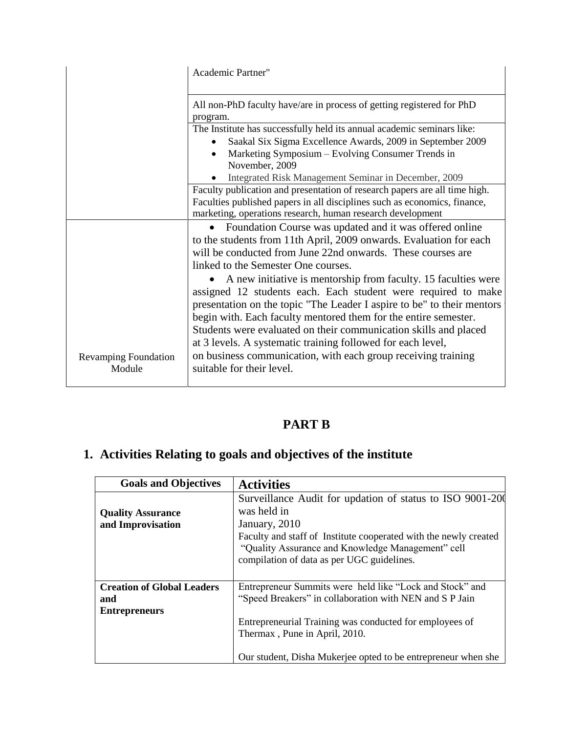|                                       | <b>Academic Partner"</b>                                                                                                                                                                                                                                                                                                                                                                                        |  |  |
|---------------------------------------|-----------------------------------------------------------------------------------------------------------------------------------------------------------------------------------------------------------------------------------------------------------------------------------------------------------------------------------------------------------------------------------------------------------------|--|--|
|                                       | All non-PhD faculty have/are in process of getting registered for PhD<br>program.                                                                                                                                                                                                                                                                                                                               |  |  |
|                                       | The Institute has successfully held its annual academic seminars like:<br>Saakal Six Sigma Excellence Awards, 2009 in September 2009<br>$\bullet$<br>Marketing Symposium – Evolving Consumer Trends in<br>$\bullet$<br>November, 2009                                                                                                                                                                           |  |  |
|                                       | Integrated Risk Management Seminar in December, 2009<br>Faculty publication and presentation of research papers are all time high.<br>Faculties published papers in all disciplines such as economics, finance,                                                                                                                                                                                                 |  |  |
|                                       | marketing, operations research, human research development<br>Foundation Course was updated and it was offered online<br>to the students from 11th April, 2009 onwards. Evaluation for each<br>will be conducted from June 22nd onwards. These courses are<br>linked to the Semester One courses.                                                                                                               |  |  |
|                                       | A new initiative is mentorship from faculty. 15 faculties were<br>assigned 12 students each. Each student were required to make<br>presentation on the topic "The Leader I aspire to be" to their mentors<br>begin with. Each faculty mentored them for the entire semester.<br>Students were evaluated on their communication skills and placed<br>at 3 levels. A systematic training followed for each level, |  |  |
| <b>Revamping Foundation</b><br>Module | on business communication, with each group receiving training<br>suitable for their level.                                                                                                                                                                                                                                                                                                                      |  |  |

# **PART B**

# **1. Activities Relating to goals and objectives of the institute**

| <b>Goals and Objectives</b>       | <b>Activities</b>                                                                                                                                                   |
|-----------------------------------|---------------------------------------------------------------------------------------------------------------------------------------------------------------------|
| <b>Quality Assurance</b>          | Surveillance Audit for updation of status to ISO 9001-200<br>was held in                                                                                            |
| and Improvisation                 | January, 2010                                                                                                                                                       |
|                                   | Faculty and staff of Institute cooperated with the newly created<br>"Quality Assurance and Knowledge Management" cell<br>compilation of data as per UGC guidelines. |
| <b>Creation of Global Leaders</b> | Entrepreneur Summits were held like "Lock and Stock" and                                                                                                            |
| and                               | "Speed Breakers" in collaboration with NEN and S P Jain                                                                                                             |
| <b>Entrepreneurs</b>              |                                                                                                                                                                     |
|                                   | Entrepreneurial Training was conducted for employees of<br>Thermax, Pune in April, 2010.                                                                            |
|                                   | Our student, Disha Mukerjee opted to be entrepreneur when she                                                                                                       |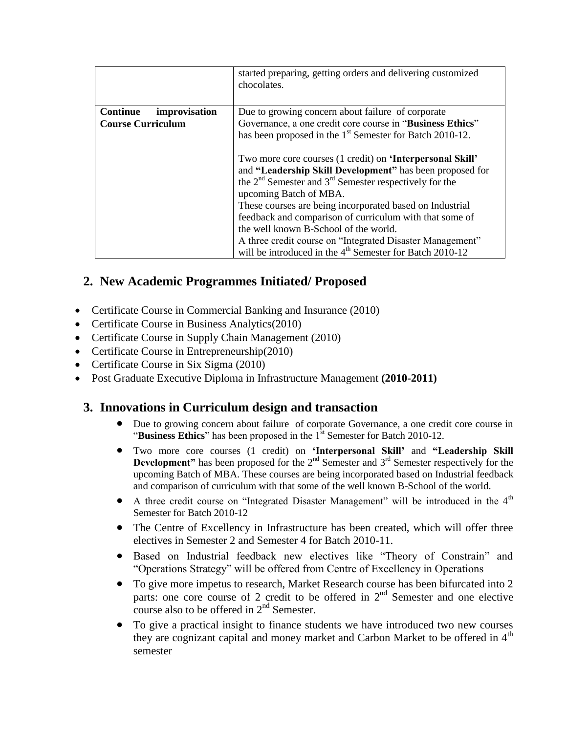|                                  | started preparing, getting orders and delivering customized<br>chocolates.                                                                                                                                                                                                                                                                                                                                                                                                                                         |
|----------------------------------|--------------------------------------------------------------------------------------------------------------------------------------------------------------------------------------------------------------------------------------------------------------------------------------------------------------------------------------------------------------------------------------------------------------------------------------------------------------------------------------------------------------------|
| <b>Continue</b><br>improvisation | Due to growing concern about failure of corporate                                                                                                                                                                                                                                                                                                                                                                                                                                                                  |
| <b>Course Curriculum</b>         | Governance, a one credit core course in "Business Ethics"                                                                                                                                                                                                                                                                                                                                                                                                                                                          |
|                                  | has been proposed in the 1 <sup>st</sup> Semester for Batch 2010-12.                                                                                                                                                                                                                                                                                                                                                                                                                                               |
|                                  | Two more core courses (1 credit) on 'Interpersonal Skill'<br>and "Leadership Skill Development" has been proposed for<br>the $2nd$ Semester and $3rd$ Semester respectively for the<br>upcoming Batch of MBA.<br>These courses are being incorporated based on Industrial<br>feedback and comparison of curriculum with that some of<br>the well known B-School of the world.<br>A three credit course on "Integrated Disaster Management"<br>will be introduced in the 4 <sup>th</sup> Semester for Batch 2010-12 |

## **2. New Academic Programmes Initiated/ Proposed**

- Certificate Course in Commercial Banking and Insurance (2010)
- Certificate Course in Business Analytics(2010)
- Certificate Course in Supply Chain Management (2010)
- Certificate Course in Entrepreneurship(2010)
- Certificate Course in Six Sigma (2010)
- Post Graduate Executive Diploma in Infrastructure Management **(2010-2011)**

## **3. Innovations in Curriculum design and transaction**

- Due to growing concern about failure of corporate Governance, a one credit core course in "**Business Ethics**" has been proposed in the 1<sup>st</sup> Semester for Batch 2010-12.
- Two more core courses (1 credit) on **"Interpersonal Skill"** and **"Leadership Skill Development"** has been proposed for the  $2<sup>nd</sup>$  Semester and  $3<sup>rd</sup>$  Semester respectively for the upcoming Batch of MBA. These courses are being incorporated based on Industrial feedback and comparison of curriculum with that some of the well known B-School of the world.
- A three credit course on "Integrated Disaster Management" will be introduced in the  $4<sup>th</sup>$ Semester for Batch 2010-12
- The Centre of Excellency in Infrastructure has been created, which will offer three electives in Semester 2 and Semester 4 for Batch 2010-11.
- Based on Industrial feedback new electives like "Theory of Constrain" and "Operations Strategy" will be offered from Centre of Excellency in Operations
- To give more impetus to research, Market Research course has been bifurcated into 2 parts: one core course of 2 credit to be offered in  $2<sup>nd</sup>$  Semester and one elective course also to be offered in  $2<sup>nd</sup>$  Semester.
- To give a practical insight to finance students we have introduced two new courses they are cognizant capital and money market and Carbon Market to be offered in  $4<sup>th</sup>$ semester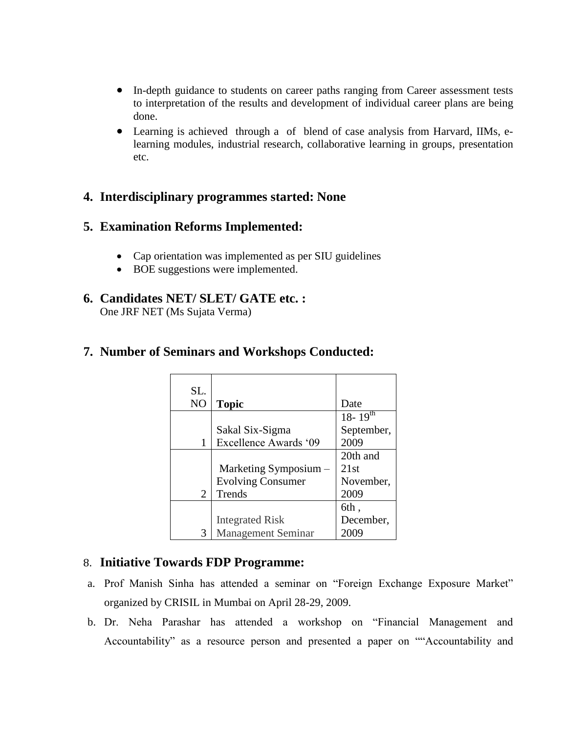- In-depth guidance to students on career paths ranging from Career assessment tests to interpretation of the results and development of individual career plans are being done.
- Learning is achieved through a of blend of case analysis from Harvard, IIMs, elearning modules, industrial research, collaborative learning in groups, presentation etc.

### **4. Interdisciplinary programmes started: None**

### **5. Examination Reforms Implemented:**

- Cap orientation was implemented as per SIU guidelines
- BOE suggestions were implemented.

## **6. Candidates NET/ SLET/ GATE etc. :**

One JRF NET (Ms Sujata Verma)

| SL.            |                           |                |
|----------------|---------------------------|----------------|
| N <sub>O</sub> | <b>Topic</b>              | Date           |
|                |                           | $18 - 19^{th}$ |
|                | Sakal Six-Sigma           | September,     |
|                | Excellence Awards '09     | 2009           |
|                |                           | 20th and       |
|                | Marketing Symposium -     | 21st           |
|                | <b>Evolving Consumer</b>  | November,      |
| 2              | Trends                    | 2009           |
|                |                           | 6th,           |
|                | <b>Integrated Risk</b>    | December,      |
|                | <b>Management Seminar</b> |                |

## **7. Number of Seminars and Workshops Conducted:**

### 8. **Initiative Towards FDP Programme:**

- a. Prof Manish Sinha has attended a seminar on "Foreign Exchange Exposure Market" organized by CRISIL in Mumbai on April 28-29, 2009.
- b. Dr. Neha Parashar has attended a workshop on "Financial Management and Accountability" as a resource person and presented a paper on ""Accountability and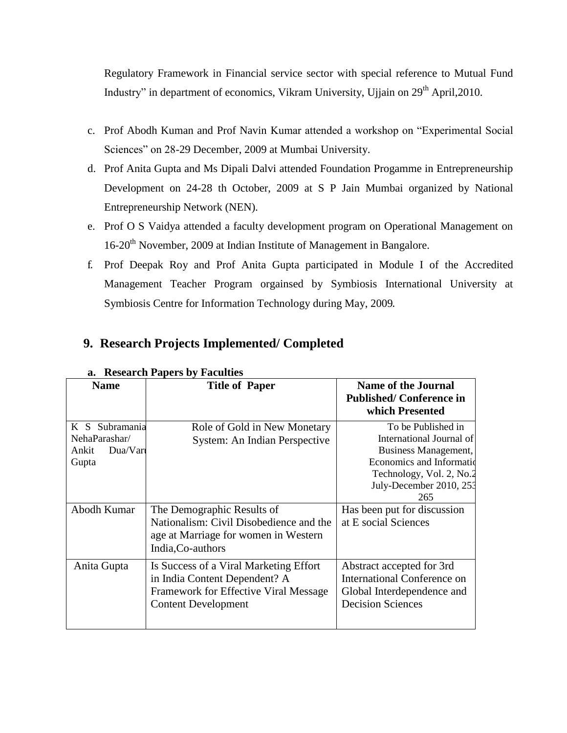Regulatory Framework in Financial service sector with special reference to Mutual Fund Industry" in department of economics, Vikram University, Ujjain on 29<sup>th</sup> April, 2010.

- c. Prof Abodh Kuman and Prof Navin Kumar attended a workshop on "Experimental Social Sciences" on 28-29 December, 2009 at Mumbai University.
- d. Prof Anita Gupta and Ms Dipali Dalvi attended Foundation Progamme in Entrepreneurship Development on 24-28 th October, 2009 at S P Jain Mumbai organized by National Entrepreneurship Network (NEN).
- e. Prof O S Vaidya attended a faculty development program on Operational Management on 16-20<sup>th</sup> November, 2009 at Indian Institute of Management in Bangalore.
- f. Prof Deepak Roy and Prof Anita Gupta participated in Module I of the Accredited Management Teacher Program orgainsed by Symbiosis International University at Symbiosis Centre for Information Technology during May, 2009.

|                                                                  | a. Research Papers by Faculties                                                                                                                |                                                                                                                                                                   |
|------------------------------------------------------------------|------------------------------------------------------------------------------------------------------------------------------------------------|-------------------------------------------------------------------------------------------------------------------------------------------------------------------|
| <b>Name</b>                                                      | <b>Title of Paper</b>                                                                                                                          | <b>Name of the Journal</b><br><b>Published/Conference in</b><br>which Presented                                                                                   |
| K S Subramania<br>NehaParashar/<br>$Du$ a/Vari<br>Ankit<br>Gupta | Role of Gold in New Monetary<br>System: An Indian Perspective                                                                                  | To be Published in<br>International Journal of<br>Business Management,<br>Economics and Information<br>Technology, Vol. 2, No.2<br>July-December 2010, 253<br>265 |
| Abodh Kumar                                                      | The Demographic Results of<br>Nationalism: Civil Disobedience and the<br>age at Marriage for women in Western<br>India, Co-authors             | Has been put for discussion<br>at E social Sciences                                                                                                               |
| Anita Gupta                                                      | Is Success of a Viral Marketing Effort<br>in India Content Dependent? A<br>Framework for Effective Viral Message<br><b>Content Development</b> | Abstract accepted for 3rd<br>International Conference on<br>Global Interdependence and<br><b>Decision Sciences</b>                                                |

#### **a. Research Papers by Faculties**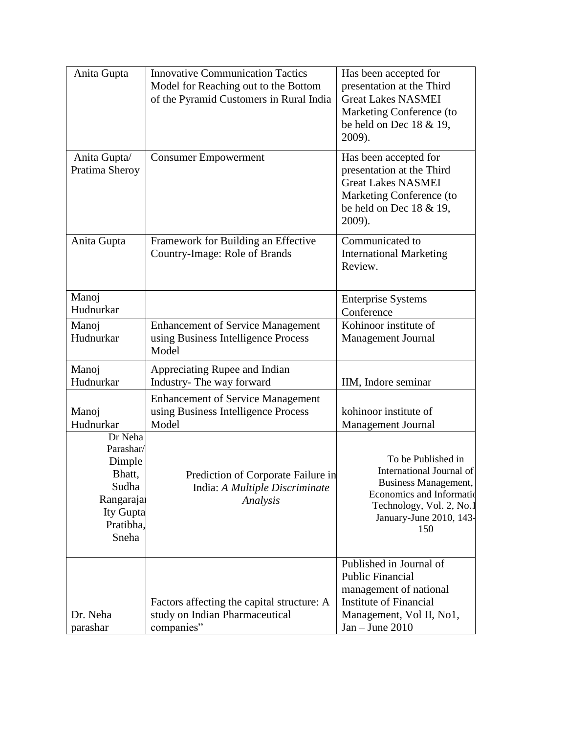| Anita Gupta                                                                                       | <b>Innovative Communication Tactics</b><br>Model for Reaching out to the Bottom<br>of the Pyramid Customers in Rural India | Has been accepted for<br>presentation at the Third<br><b>Great Lakes NASMEI</b><br>Marketing Conference (to<br>be held on Dec $18 \& 19$ ,<br>2009).             |
|---------------------------------------------------------------------------------------------------|----------------------------------------------------------------------------------------------------------------------------|------------------------------------------------------------------------------------------------------------------------------------------------------------------|
| Anita Gupta/<br>Pratima Sheroy                                                                    | <b>Consumer Empowerment</b>                                                                                                | Has been accepted for<br>presentation at the Third<br><b>Great Lakes NASMEI</b><br>Marketing Conference (to<br>be held on Dec $18 \& 19$ ,<br>2009).             |
| Anita Gupta                                                                                       | Framework for Building an Effective<br>Country-Image: Role of Brands                                                       | Communicated to<br><b>International Marketing</b><br>Review.                                                                                                     |
| Manoj<br>Hudnurkar                                                                                |                                                                                                                            | <b>Enterprise Systems</b><br>Conference                                                                                                                          |
| Manoj<br>Hudnurkar                                                                                | <b>Enhancement of Service Management</b><br>using Business Intelligence Process<br>Model                                   | Kohinoor institute of<br><b>Management Journal</b>                                                                                                               |
| Manoj<br>Hudnurkar                                                                                | Appreciating Rupee and Indian<br>Industry-The way forward                                                                  | IIM, Indore seminar                                                                                                                                              |
| Manoj<br>Hudnurkar                                                                                | <b>Enhancement of Service Management</b><br>using Business Intelligence Process<br>Model                                   | kohinoor institute of<br><b>Management Journal</b>                                                                                                               |
| Dr Neha<br>Parashar/<br>Dimple<br>Bhatt,<br>Sudha<br>Rangaraja<br>Ity Gupta<br>Pratibha,<br>Sneha | Prediction of Corporate Failure in<br>India: A Multiple Discriminate<br>Analysis                                           | To be Published in<br>International Journal of<br>Business Management,<br>Economics and Informatio<br>Technology, Vol. 2, No.1<br>January-June 2010, 143-<br>150 |
| Dr. Neha<br>parashar                                                                              | Factors affecting the capital structure: A<br>study on Indian Pharmaceutical<br>companies"                                 | Published in Journal of<br><b>Public Financial</b><br>management of national<br><b>Institute of Financial</b><br>Management, Vol II, No1,<br>$Jan - June 2010$   |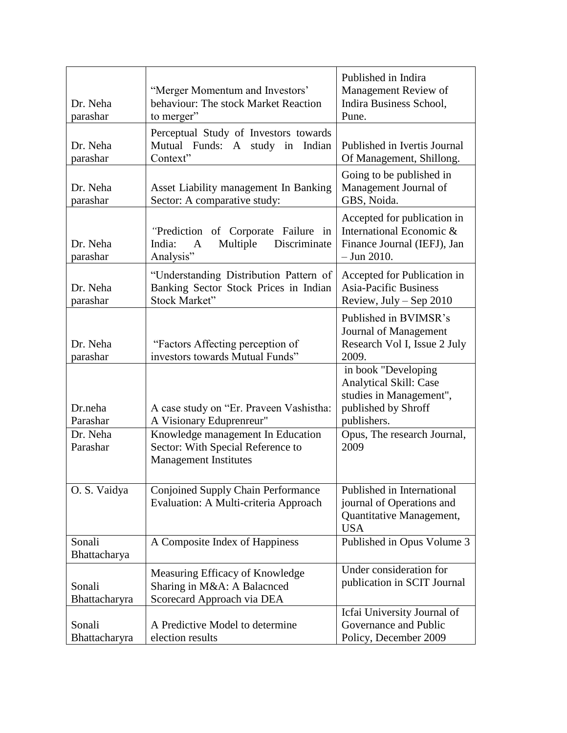|               |                                                    | Published in Indira           |
|---------------|----------------------------------------------------|-------------------------------|
|               | "Merger Momentum and Investors"                    | Management Review of          |
| Dr. Neha      | behaviour: The stock Market Reaction               | Indira Business School,       |
| parashar      | to merger"                                         | Pune.                         |
|               | Perceptual Study of Investors towards              |                               |
| Dr. Neha      | Mutual Funds: A study in Indian                    | Published in Ivertis Journal  |
| parashar      | Context"                                           | Of Management, Shillong.      |
|               |                                                    | Going to be published in      |
| Dr. Neha      | Asset Liability management In Banking              | Management Journal of         |
| parashar      | Sector: A comparative study:                       | GBS, Noida.                   |
|               |                                                    | Accepted for publication in   |
|               | "Prediction of Corporate Failure in                | International Economic &      |
| Dr. Neha      | Discriminate<br>India:<br>Multiple<br>$\mathbf{A}$ | Finance Journal (IEFJ), Jan   |
| parashar      | Analysis"                                          | $-$ Jun 2010.                 |
|               |                                                    |                               |
|               | "Understanding Distribution Pattern of             | Accepted for Publication in   |
| Dr. Neha      | Banking Sector Stock Prices in Indian              | <b>Asia-Pacific Business</b>  |
| parashar      | Stock Market"                                      | Review, July $-$ Sep 2010     |
|               |                                                    | Published in BVIMSR's         |
|               |                                                    | Journal of Management         |
| Dr. Neha      | "Factors Affecting perception of                   | Research Vol I, Issue 2 July  |
| parashar      | investors towards Mutual Funds"                    | 2009.                         |
|               |                                                    | in book "Developing           |
|               |                                                    | <b>Analytical Skill: Case</b> |
|               |                                                    | studies in Management",       |
| Dr.neha       | A case study on "Er. Praveen Vashistha:            | published by Shroff           |
| Parashar      | A Visionary Eduprenreur"                           | publishers.                   |
| Dr. Neha      | Knowledge management In Education                  | Opus, The research Journal,   |
| Parashar      | Sector: With Special Reference to                  | 2009                          |
|               | <b>Management Institutes</b>                       |                               |
|               |                                                    |                               |
| O. S. Vaidya  | Conjoined Supply Chain Performance                 | Published in International    |
|               | Evaluation: A Multi-criteria Approach              | journal of Operations and     |
|               |                                                    | Quantitative Management,      |
|               |                                                    | <b>USA</b>                    |
| Sonali        | A Composite Index of Happiness                     | Published in Opus Volume 3    |
| Bhattacharya  |                                                    |                               |
|               | Measuring Efficacy of Knowledge                    | Under consideration for       |
| Sonali        | Sharing in M&A: A Balacnced                        | publication in SCIT Journal   |
| Bhattacharyra | Scorecard Approach via DEA                         |                               |
|               |                                                    | Icfai University Journal of   |
| Sonali        | A Predictive Model to determine                    | Governance and Public         |
| Bhattacharyra | election results                                   | Policy, December 2009         |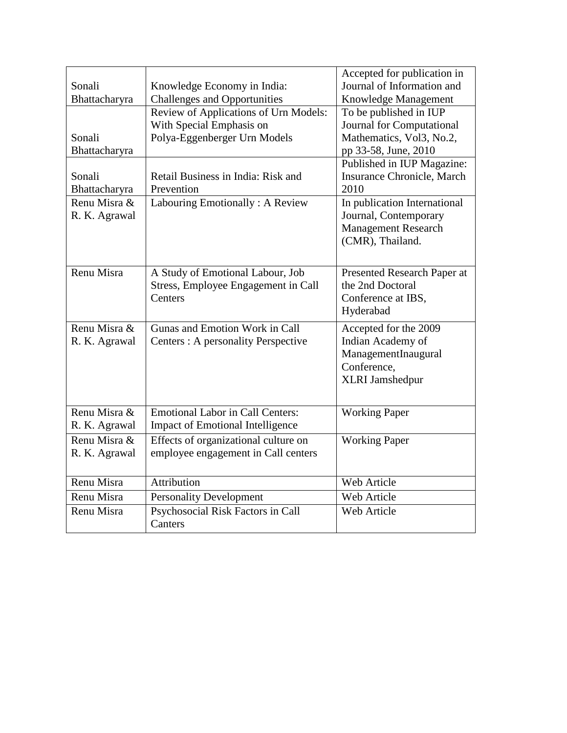|               |                                         | Accepted for publication in      |
|---------------|-----------------------------------------|----------------------------------|
| Sonali        | Knowledge Economy in India:             | Journal of Information and       |
| Bhattacharyra | <b>Challenges and Opportunities</b>     | Knowledge Management             |
|               | Review of Applications of Urn Models:   | To be published in IUP           |
|               | With Special Emphasis on                | <b>Journal for Computational</b> |
| Sonali        | Polya-Eggenberger Urn Models            | Mathematics, Vol3, No.2,         |
| Bhattacharyra |                                         | pp 33-58, June, 2010             |
|               |                                         | Published in IUP Magazine:       |
| Sonali        | Retail Business in India: Risk and      | Insurance Chronicle, March       |
| Bhattacharyra | Prevention                              | 2010                             |
| Renu Misra &  | Labouring Emotionally: A Review         | In publication International     |
| R. K. Agrawal |                                         | Journal, Contemporary            |
|               |                                         | <b>Management Research</b>       |
|               |                                         | (CMR), Thailand.                 |
|               |                                         |                                  |
| Renu Misra    | A Study of Emotional Labour, Job        | Presented Research Paper at      |
|               | Stress, Employee Engagement in Call     | the 2nd Doctoral                 |
|               | Centers                                 | Conference at IBS,               |
|               |                                         | Hyderabad                        |
| Renu Misra &  | Gunas and Emotion Work in Call          | Accepted for the 2009            |
| R. K. Agrawal | Centers: A personality Perspective      | Indian Academy of                |
|               |                                         | ManagementInaugural              |
|               |                                         | Conference,                      |
|               |                                         | <b>XLRI</b> Jamshedpur           |
|               |                                         |                                  |
| Renu Misra &  | <b>Emotional Labor in Call Centers:</b> | <b>Working Paper</b>             |
| R. K. Agrawal | <b>Impact of Emotional Intelligence</b> |                                  |
| Renu Misra &  | Effects of organizational culture on    | <b>Working Paper</b>             |
| R. K. Agrawal | employee engagement in Call centers     |                                  |
|               |                                         |                                  |
| Renu Misra    | Attribution                             | Web Article                      |
| Renu Misra    | <b>Personality Development</b>          | Web Article                      |
| Renu Misra    | Psychosocial Risk Factors in Call       | <b>Web Article</b>               |
|               | Canters                                 |                                  |
|               |                                         |                                  |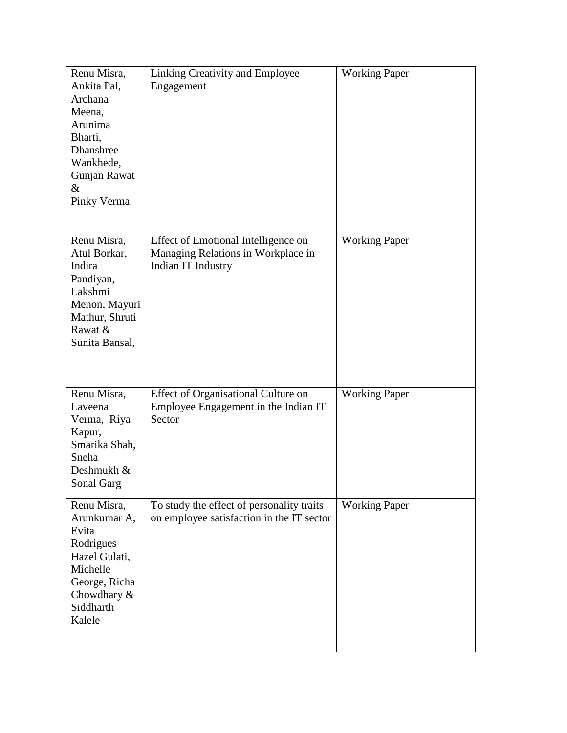| Renu Misra,<br>Ankita Pal,<br>Archana<br>Meena,<br>Arunima<br>Bharti,<br>Dhanshree<br>Wankhede,<br>Gunjan Rawat<br>$\&$<br>Pinky Verma  | Linking Creativity and Employee<br>Engagement                                                   | <b>Working Paper</b> |
|-----------------------------------------------------------------------------------------------------------------------------------------|-------------------------------------------------------------------------------------------------|----------------------|
| Renu Misra,<br>Atul Borkar,<br>Indira<br>Pandiyan,<br>Lakshmi<br>Menon, Mayuri<br>Mathur, Shruti<br>Rawat &<br>Sunita Bansal,           | Effect of Emotional Intelligence on<br>Managing Relations in Workplace in<br>Indian IT Industry | <b>Working Paper</b> |
| Renu Misra,<br>Laveena<br>Verma, Riya<br>Kapur,<br>Smarika Shah,<br>Sneha<br>Deshmukh &<br>Sonal Garg                                   | Effect of Organisational Culture on<br>Employee Engagement in the Indian IT<br>Sector           | <b>Working Paper</b> |
| Renu Misra,<br>Arunkumar A,<br>Evita<br>Rodrigues<br>Hazel Gulati,<br>Michelle<br>George, Richa<br>Chowdhary $&$<br>Siddharth<br>Kalele | To study the effect of personality traits<br>on employee satisfaction in the IT sector          | <b>Working Paper</b> |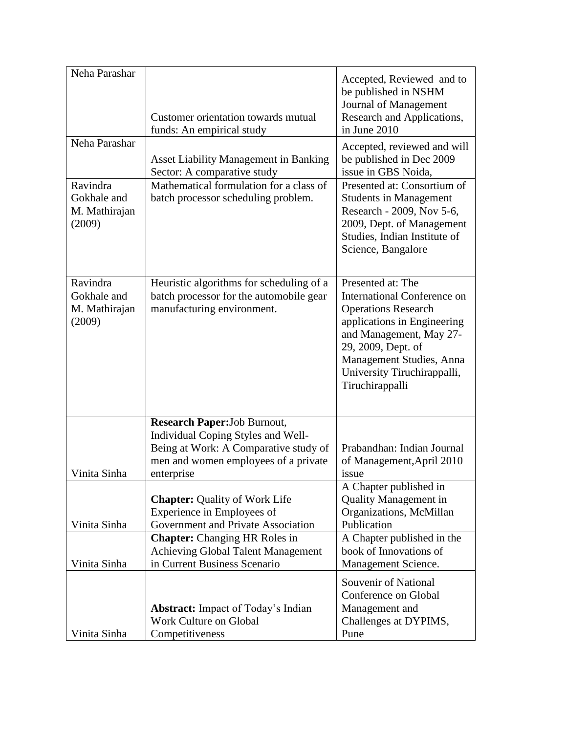| Neha Parashar                                      | Customer orientation towards mutual<br>funds: An empirical study                                                                  | Accepted, Reviewed and to<br>be published in NSHM<br>Journal of Management<br>Research and Applications,<br>in June 2010                                                                                                                     |
|----------------------------------------------------|-----------------------------------------------------------------------------------------------------------------------------------|----------------------------------------------------------------------------------------------------------------------------------------------------------------------------------------------------------------------------------------------|
| Neha Parashar                                      | <b>Asset Liability Management in Banking</b><br>Sector: A comparative study                                                       | Accepted, reviewed and will<br>be published in Dec 2009<br>issue in GBS Noida.                                                                                                                                                               |
| Ravindra<br>Gokhale and<br>M. Mathirajan<br>(2009) | Mathematical formulation for a class of<br>batch processor scheduling problem.                                                    | Presented at: Consortium of<br><b>Students in Management</b><br>Research - 2009, Nov 5-6,<br>2009, Dept. of Management<br>Studies, Indian Institute of<br>Science, Bangalore                                                                 |
| Ravindra<br>Gokhale and<br>M. Mathirajan<br>(2009) | Heuristic algorithms for scheduling of a<br>batch processor for the automobile gear<br>manufacturing environment.                 | Presented at: The<br>International Conference on<br><b>Operations Research</b><br>applications in Engineering<br>and Management, May 27-<br>29, 2009, Dept. of<br>Management Studies, Anna<br>University Tiruchirappalli,<br>Tiruchirappalli |
|                                                    | <b>Research Paper: Job Burnout,</b>                                                                                               |                                                                                                                                                                                                                                              |
| Vinita Sinha                                       | Individual Coping Styles and Well-<br>Being at Work: A Comparative study of<br>men and women employees of a private<br>enterprise | Prabandhan: Indian Journal<br>of Management, April 2010<br>issue                                                                                                                                                                             |
| Vinita Sinha                                       | <b>Chapter: Quality of Work Life</b><br>Experience in Employees of<br>Government and Private Association                          | A Chapter published in<br><b>Quality Management in</b><br>Organizations, McMillan<br>Publication                                                                                                                                             |
|                                                    | <b>Chapter:</b> Changing HR Roles in                                                                                              | A Chapter published in the                                                                                                                                                                                                                   |
| Vinita Sinha                                       | <b>Achieving Global Talent Management</b><br>in Current Business Scenario                                                         | book of Innovations of<br>Management Science.                                                                                                                                                                                                |
| Vinita Sinha                                       | <b>Abstract:</b> Impact of Today's Indian<br>Work Culture on Global<br>Competitiveness                                            | Souvenir of National<br>Conference on Global<br>Management and<br>Challenges at DYPIMS,<br>Pune                                                                                                                                              |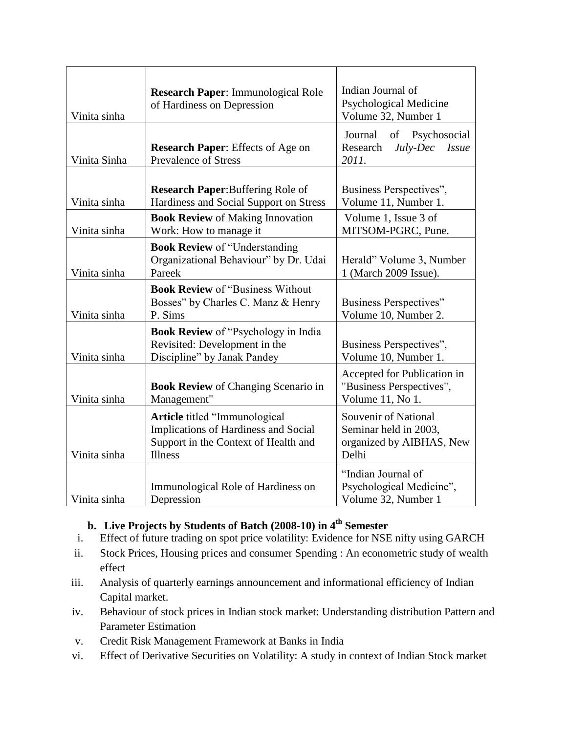| Vinita sinha | Research Paper: Immunological Role<br>of Hardiness on Depression                                                                | Indian Journal of<br><b>Psychological Medicine</b><br>Volume 32, Number 1          |
|--------------|---------------------------------------------------------------------------------------------------------------------------------|------------------------------------------------------------------------------------|
| Vinita Sinha | <b>Research Paper:</b> Effects of Age on<br><b>Prevalence of Stress</b>                                                         | Journal of Psychosocial<br>Research<br>July-Dec<br><b>Issue</b><br>2011.           |
| Vinita sinha | <b>Research Paper:</b> Buffering Role of<br>Hardiness and Social Support on Stress                                              | Business Perspectives",<br>Volume 11, Number 1.                                    |
| Vinita sinha | <b>Book Review of Making Innovation</b><br>Work: How to manage it                                                               | Volume 1, Issue 3 of<br>MITSOM-PGRC, Pune.                                         |
| Vinita sinha | <b>Book Review of "Understanding</b><br>Organizational Behaviour" by Dr. Udai<br>Pareek                                         | Herald" Volume 3, Number<br>1 (March 2009 Issue).                                  |
| Vinita sinha | <b>Book Review of "Business Without"</b><br>Bosses" by Charles C. Manz & Henry<br>P. Sims                                       | Business Perspectives"<br>Volume 10, Number 2.                                     |
| Vinita sinha | <b>Book Review of "Psychology in India</b><br>Revisited: Development in the<br>Discipline" by Janak Pandey                      | Business Perspectives",<br>Volume 10, Number 1.                                    |
| Vinita sinha | <b>Book Review of Changing Scenario in</b><br>Management"                                                                       | Accepted for Publication in<br>"Business Perspectives",<br>Volume 11, No 1.        |
| Vinita sinha | Article titled "Immunological<br>Implications of Hardiness and Social<br>Support in the Context of Health and<br><b>Illness</b> | Souvenir of National<br>Seminar held in 2003,<br>organized by AIBHAS, New<br>Delhi |
| Vinita sinha | Immunological Role of Hardiness on<br>Depression                                                                                | "Indian Journal of<br>Psychological Medicine",<br>Volume 32, Number 1              |

## **b. Live Projects by Students of Batch (2008-10) in 4th Semester**

- i. Effect of future trading on spot price volatility: Evidence for NSE nifty using GARCH
- ii. Stock Prices, Housing prices and consumer Spending : An econometric study of wealth effect
- iii. Analysis of quarterly earnings announcement and informational efficiency of Indian Capital market.
- iv. Behaviour of stock prices in Indian stock market: Understanding distribution Pattern and Parameter Estimation
- v. Credit Risk Management Framework at Banks in India
- vi. Effect of Derivative Securities on Volatility: A study in context of Indian Stock market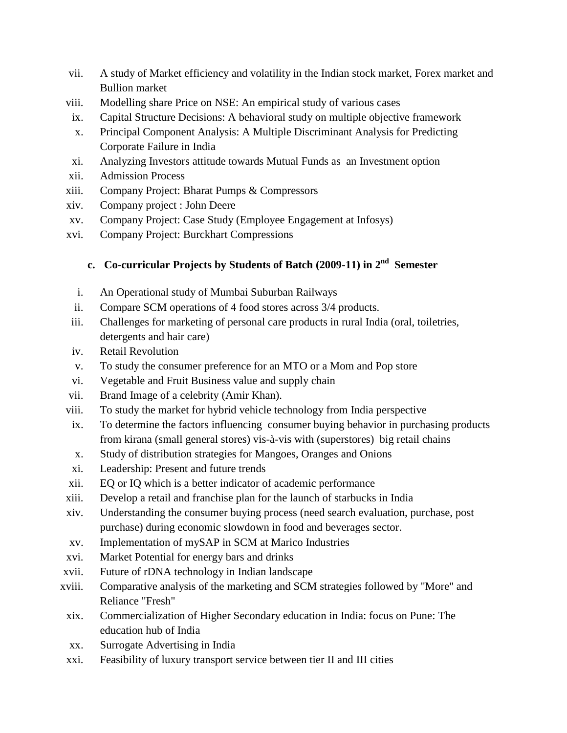- vii. A study of Market efficiency and volatility in the Indian stock market, Forex market and Bullion market
- viii. Modelling share Price on NSE: An empirical study of various cases
- ix. Capital Structure Decisions: A behavioral study on multiple objective framework
- x. Principal Component Analysis: A Multiple Discriminant Analysis for Predicting Corporate Failure in India
- xi. Analyzing Investors attitude towards Mutual Funds as an Investment option
- xii. Admission Process
- xiii. Company Project: Bharat Pumps & Compressors
- xiv. Company project : John Deere
- xv. Company Project: Case Study (Employee Engagement at Infosys)
- xvi. Company Project: Burckhart Compressions

## **c. Co-curricular Projects by Students of Batch (2009-11) in 2nd Semester**

- i. An Operational study of Mumbai Suburban Railways
- ii. Compare SCM operations of 4 food stores across 3/4 products.
- iii. Challenges for marketing of personal care products in rural India (oral, toiletries, detergents and hair care)
- iv. Retail Revolution
- v. To study the consumer preference for an MTO or a Mom and Pop store
- vi. Vegetable and Fruit Business value and supply chain
- vii. Brand Image of a celebrity (Amir Khan).
- viii. To study the market for hybrid vehicle technology from India perspective
- ix. To determine the factors influencing consumer buying behavior in purchasing products from kirana (small general stores) vis-à-vis with (superstores) big retail chains
- x. Study of distribution strategies for Mangoes, Oranges and Onions
- xi. Leadership: Present and future trends
- xii. EQ or IQ which is a better indicator of academic performance
- xiii. Develop a retail and franchise plan for the launch of starbucks in India
- xiv. Understanding the consumer buying process (need search evaluation, purchase, post purchase) during economic slowdown in food and beverages sector.
- xv. Implementation of mySAP in SCM at Marico Industries
- xvi. Market Potential for energy bars and drinks
- xvii. Future of rDNA technology in Indian landscape
- xviii. Comparative analysis of the marketing and SCM strategies followed by "More" and Reliance "Fresh"
- xix. Commercialization of Higher Secondary education in India: focus on Pune: The education hub of India
- xx. Surrogate Advertising in India
- xxi. Feasibility of luxury transport service between tier II and III cities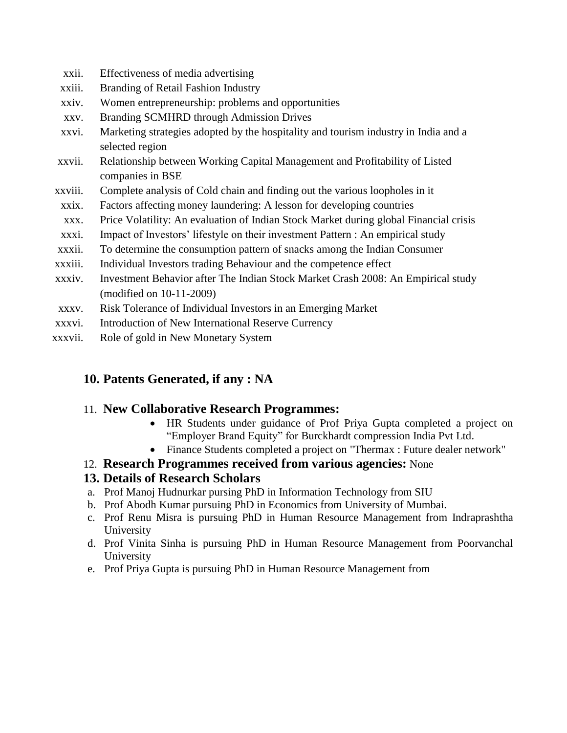- xxii. Effectiveness of media advertising
- xxiii. Branding of Retail Fashion Industry
- xxiv. Women entrepreneurship: problems and opportunities
- xxv. Branding SCMHRD through Admission Drives
- xxvi. Marketing strategies adopted by the hospitality and tourism industry in India and a selected region
- xxvii. Relationship between Working Capital Management and Profitability of Listed companies in BSE
- xxviii. Complete analysis of Cold chain and finding out the various loopholes in it
- xxix. Factors affecting money laundering: A lesson for developing countries
- xxx. Price Volatility: An evaluation of Indian Stock Market during global Financial crisis
- xxxi. Impact of Investors" lifestyle on their investment Pattern : An empirical study
- xxxii. To determine the consumption pattern of snacks among the Indian Consumer
- xxxiii. Individual Investors trading Behaviour and the competence effect
- xxxiv. Investment Behavior after The Indian Stock Market Crash 2008: An Empirical study (modified on 10-11-2009)
- xxxv. Risk Tolerance of Individual Investors in an Emerging Market
- xxxvi. Introduction of New International Reserve Currency
- xxxvii. Role of gold in New Monetary System

## **10. Patents Generated, if any : NA**

### 11. **New Collaborative Research Programmes:**

- HR Students under guidance of Prof Priya Gupta completed a project on "Employer Brand Equity" for Burckhardt compression India Pvt Ltd.
- Finance Students completed a project on "Thermax : Future dealer network"
- 12. **Research Programmes received from various agencies:** None

## **13. Details of Research Scholars**

- a. Prof Manoj Hudnurkar pursing PhD in Information Technology from SIU
- b. Prof Abodh Kumar pursuing PhD in Economics from University of Mumbai.
- c. Prof Renu Misra is pursuing PhD in Human Resource Management from Indraprashtha University
- d. Prof Vinita Sinha is pursuing PhD in Human Resource Management from Poorvanchal University
- e. Prof Priya Gupta is pursuing PhD in Human Resource Management from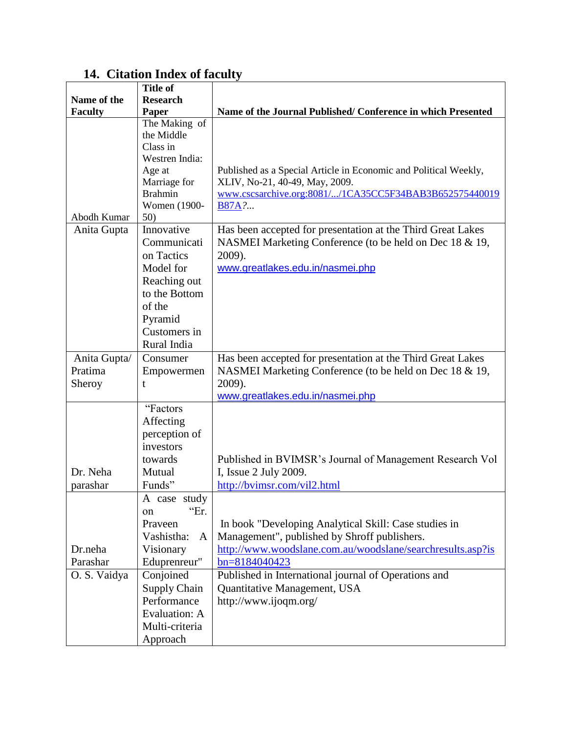# **14. Citation Index of faculty**

|                | <b>Title of</b>                |                                                                  |
|----------------|--------------------------------|------------------------------------------------------------------|
| Name of the    | <b>Research</b>                |                                                                  |
| <b>Faculty</b> | Paper                          | Name of the Journal Published/ Conference in which Presented     |
|                | The Making of                  |                                                                  |
|                | the Middle                     |                                                                  |
|                | Class in                       |                                                                  |
|                | Westren India:                 |                                                                  |
|                | Age at                         | Published as a Special Article in Economic and Political Weekly, |
|                | Marriage for                   | XLIV, No-21, 40-49, May, 2009.                                   |
|                | <b>Brahmin</b><br>Women (1900- | www.cscsarchive.org:8081//1CA35CC5F34BAB3B652575440019           |
| Abodh Kumar    | 50)                            | <b>B87A</b> ?                                                    |
| Anita Gupta    | Innovative                     | Has been accepted for presentation at the Third Great Lakes      |
|                | Communicati                    |                                                                  |
|                | on Tactics                     | NASMEI Marketing Conference (to be held on Dec 18 & 19,          |
|                | Model for                      | 2009).<br>www.greatlakes.edu.in/nasmei.php                       |
|                |                                |                                                                  |
|                | Reaching out<br>to the Bottom  |                                                                  |
|                | of the                         |                                                                  |
|                |                                |                                                                  |
|                | Pyramid                        |                                                                  |
|                | Customers in                   |                                                                  |
|                | Rural India                    |                                                                  |
| Anita Gupta/   | Consumer                       | Has been accepted for presentation at the Third Great Lakes      |
| Pratima        | Empowermen                     | NASMEI Marketing Conference (to be held on Dec 18 & 19,          |
| Sheroy         | t                              | 2009).                                                           |
|                | "Factors                       | www.greatlakes.edu.in/nasmei.php                                 |
|                | Affecting                      |                                                                  |
|                |                                |                                                                  |
|                | perception of<br>investors     |                                                                  |
|                |                                |                                                                  |
| Dr. Neha       | towards<br>Mutual              | Published in BVIMSR's Journal of Management Research Vol         |
| parashar       | Funds"                         | I, Issue 2 July 2009.                                            |
|                |                                | http://bvimsr.com/vil2.html                                      |
|                | A case study<br>"Er.           |                                                                  |
|                | on                             |                                                                  |
|                | Praveen                        | In book "Developing Analytical Skill: Case studies in            |
|                | Vashistha:<br>A                | Management", published by Shroff publishers.                     |
| Dr.neha        | Visionary                      | http://www.woodslane.com.au/woodslane/searchresults.asp?is       |
| Parashar       | Eduprenreur"                   | bn=8184040423                                                    |
| O. S. Vaidya   | Conjoined                      | Published in International journal of Operations and             |
|                | <b>Supply Chain</b>            | Quantitative Management, USA                                     |
|                | Performance                    | http://www.ijoqm.org/                                            |
|                | <b>Evaluation: A</b>           |                                                                  |
|                | Multi-criteria                 |                                                                  |
|                | Approach                       |                                                                  |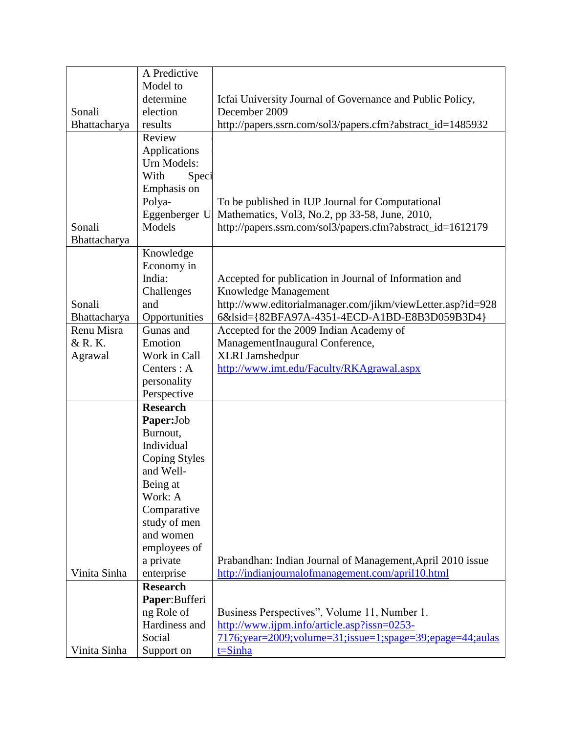|              | A Predictive         |                                                            |
|--------------|----------------------|------------------------------------------------------------|
|              | Model to             |                                                            |
|              | determine            | Icfai University Journal of Governance and Public Policy,  |
| Sonali       | election             | December 2009                                              |
| Bhattacharya | results              | http://papers.ssrn.com/sol3/papers.cfm?abstract_id=1485932 |
|              | Review               |                                                            |
|              | Applications         |                                                            |
|              | Urn Models:          |                                                            |
|              | With<br>Speci        |                                                            |
|              | Emphasis on          |                                                            |
|              | Polya-               | To be published in IUP Journal for Computational           |
|              | Eggenberger U        | Mathematics, Vol3, No.2, pp 33-58, June, 2010,             |
| Sonali       | Models               | http://papers.ssrn.com/sol3/papers.cfm?abstract_id=1612179 |
| Bhattacharya |                      |                                                            |
|              | Knowledge            |                                                            |
|              | Economy in           |                                                            |
|              | India:               | Accepted for publication in Journal of Information and     |
|              | Challenges           | Knowledge Management                                       |
| Sonali       | and                  | http://www.editorialmanager.com/jikm/viewLetter.asp?id=928 |
| Bhattacharya | Opportunities        | 6&lsid={82BFA97A-4351-4ECD-A1BD-E8B3D059B3D4}              |
| Renu Misra   | Gunas and            | Accepted for the 2009 Indian Academy of                    |
| & R. K.      | Emotion              | ManagementInaugural Conference,                            |
| Agrawal      | Work in Call         | <b>XLRI</b> Jamshedpur                                     |
|              | Centers : A          | http://www.imt.edu/Faculty/RKAgrawal.aspx                  |
|              | personality          |                                                            |
|              | Perspective          |                                                            |
|              | <b>Research</b>      |                                                            |
|              | Paper:Job            |                                                            |
|              | Burnout,             |                                                            |
|              | Individual           |                                                            |
|              | <b>Coping Styles</b> |                                                            |
|              | and Well-            |                                                            |
|              | Being at             |                                                            |
|              | Work: A              |                                                            |
|              | Comparative          |                                                            |
|              | study of men         |                                                            |
|              | and women            |                                                            |
|              | employees of         |                                                            |
|              | a private            | Prabandhan: Indian Journal of Management, April 2010 issue |
| Vinita Sinha | enterprise           | http://indianjournalofmanagement.com/april10.html          |
|              | <b>Research</b>      |                                                            |
|              | Paper: Bufferi       |                                                            |
|              | ng Role of           | Business Perspectives", Volume 11, Number 1.               |
|              | Hardiness and        | http://www.ijpm.info/article.asp?issn=0253-                |
|              | Social               | 7176;year=2009;volume=31;issue=1;spage=39;epage=44;aulas   |
| Vinita Sinha | Support on           | $t = \sinh a$                                              |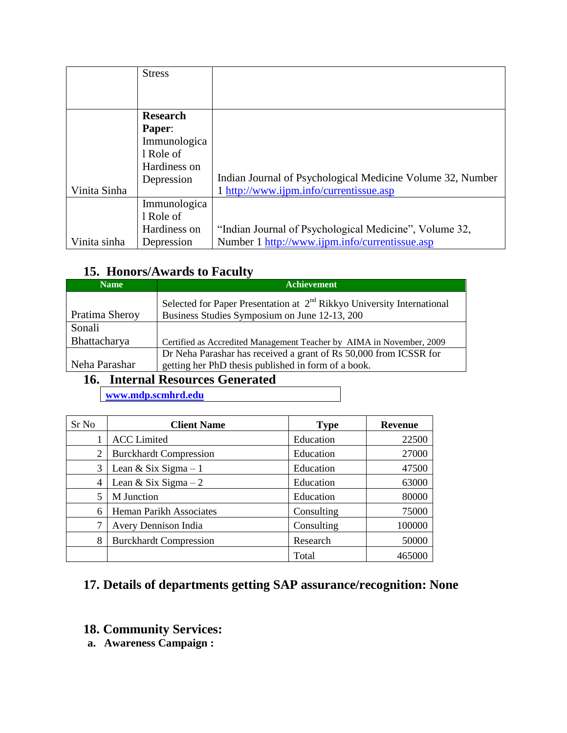|              | <b>Stress</b>   |                                                            |
|--------------|-----------------|------------------------------------------------------------|
|              |                 |                                                            |
|              |                 |                                                            |
|              | <b>Research</b> |                                                            |
|              | Paper:          |                                                            |
|              | Immunologica    |                                                            |
|              | 1 Role of       |                                                            |
|              | Hardiness on    |                                                            |
|              | Depression      | Indian Journal of Psychological Medicine Volume 32, Number |
| Vinita Sinha |                 | 1 http://www.ijpm.info/currentissue.asp                    |
|              | Immunologica    |                                                            |
|              | l Role of       |                                                            |
|              | Hardiness on    | "Indian Journal of Psychological Medicine", Volume 32,     |
| Vinita sinha | Depression      | Number 1 http://www.ijpm.info/currentissue.asp             |

# **15. Honors/Awards to Faculty**

| <b>Name</b>    | <b>Achievement</b>                                                       |
|----------------|--------------------------------------------------------------------------|
|                | Selected for Paper Presentation at $2nd$ Rikkyo University International |
| Pratima Sheroy | Business Studies Symposium on June 12-13, 200                            |
| Sonali         |                                                                          |
| Bhattacharya   | Certified as Accredited Management Teacher by AIMA in November, 2009     |
|                | Dr Neha Parashar has received a grant of Rs 50,000 from ICSSR for        |
| Neha Parashar  | getting her PhD thesis published in form of a book.                      |

# **16. Internal Resources Generated**

**[www.mdp.scmhrd.edu](http://www.mdp.scmhrd.edu/)**

| Sr No | <b>Client Name</b>            | <b>Type</b> | <b>Revenue</b> |
|-------|-------------------------------|-------------|----------------|
|       | <b>ACC</b> Limited            | Education   | 22500          |
| 2     | <b>Burckhardt Compression</b> | Education   | 27000          |
| 3     | Lean & Six Sigma $-1$         | Education   | 47500          |
| 4     | Lean & Six Sigma $-2$         | Education   | 63000          |
| 5     | M Junction                    | Education   | 80000          |
| 6     | Heman Parikh Associates       | Consulting  | 75000          |
|       | Avery Dennison India          | Consulting  | 100000         |
| 8     | <b>Burckhardt Compression</b> | Research    | 50000          |
|       |                               | Total       | 465000         |

# **17. Details of departments getting SAP assurance/recognition: None**

- **18. Community Services:**
- **a. Awareness Campaign :**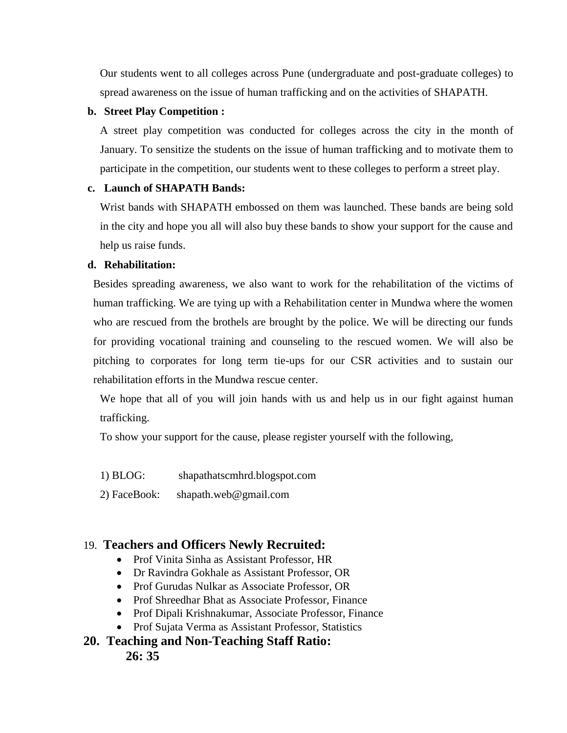Our students went to all colleges across Pune (undergraduate and post-graduate colleges) to spread awareness on the issue of human trafficking and on the activities of SHAPATH.

#### **b. Street Play Competition :**

A street play competition was conducted for colleges across the city in the month of January. To sensitize the students on the issue of human trafficking and to motivate them to participate in the competition, our students went to these colleges to perform a street play.

#### **c. Launch of SHAPATH Bands:**

Wrist bands with SHAPATH embossed on them was launched. These bands are being sold in the city and hope you all will also buy these bands to show your support for the cause and help us raise funds.

#### **d. Rehabilitation:**

Besides spreading awareness, we also want to work for the rehabilitation of the victims of human trafficking. We are tying up with a Rehabilitation center in Mundwa where the women who are rescued from the brothels are brought by the police. We will be directing our funds for providing vocational training and counseling to the rescued women. We will also be pitching to corporates for long term tie-ups for our CSR activities and to sustain our rehabilitation efforts in the Mundwa rescue center.

We hope that all of you will join hands with us and help us in our fight against human trafficking.

To show your support for the cause, please register yourself with the following,

1) BLOG: shapathatscmhrd.blogspot.com

2) FaceBook: shapath.web@gmail.com

### 19. **Teachers and Officers Newly Recruited:**

- Prof Vinita Sinha as Assistant Professor, HR
- Dr Ravindra Gokhale as Assistant Professor, OR
- Prof Gurudas Nulkar as Associate Professor, OR
- Prof Shreedhar Bhat as Associate Professor, Finance
- Prof Dipali Krishnakumar, Associate Professor, Finance
- Prof Sujata Verma as Assistant Professor, Statistics

### **20. Teaching and Non-Teaching Staff Ratio: 26: 35**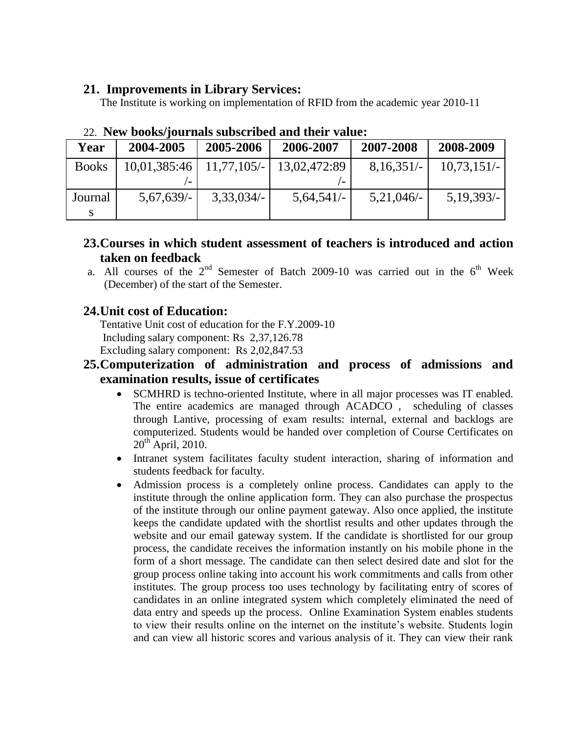### **21. Improvements in Library Services:**

The Institute is working on implementation of RFID from the academic year 2010-11

| Year         | 2004-2005    | 2005-2006     | 2006-2007    | 2007-2008    | 2008-2009     |
|--------------|--------------|---------------|--------------|--------------|---------------|
| <b>Books</b> | 10,01,385:46 | $11,77,105/-$ | 13,02,472:89 | $8,16,351/-$ | $10,73,151/-$ |
|              |              |               |              |              |               |
| Journal      | $5,67,639/-$ | $3,33,034/-$  | $5,64,541/-$ | $5,21,046/-$ | $5,19,393/-$  |
|              |              |               |              |              |               |

# 22. **New books/journals subscribed and their value:**

- **23.Courses in which student assessment of teachers is introduced and action taken on feedback**
- a. All courses of the  $2^{nd}$  Semester of Batch 2009-10 was carried out in the  $6^{th}$  Week (December) of the start of the Semester.

# **24.Unit cost of Education:**

Tentative Unit cost of education for the F.Y.2009-10 Including salary component: Rs 2,37,126.78 Excluding salary component: Rs 2,02,847.53

## **25.Computerization of administration and process of admissions and examination results, issue of certificates**

- SCMHRD is techno-oriented Institute, where in all major processes was IT enabled. The entire academics are managed through ACADCO , scheduling of classes through Lantive, processing of exam results: internal, external and backlogs are computerized. Students would be handed over completion of Course Certificates on  $20^{th}$  April, 2010.
- Intranet system facilitates faculty student interaction, sharing of information and students feedback for faculty.
- Admission process is a completely online process. Candidates can apply to the institute through the online application form. They can also purchase the prospectus of the institute through our online payment gateway. Also once applied, the institute keeps the candidate updated with the shortlist results and other updates through the website and our email gateway system. If the candidate is shortlisted for our group process, the candidate receives the information instantly on his mobile phone in the form of a short message. The candidate can then select desired date and slot for the group process online taking into account his work commitments and calls from other institutes. The group process too uses technology by facilitating entry of scores of candidates in an online integrated system which completely eliminated the need of data entry and speeds up the process. Online Examination System enables students to view their results online on the internet on the institute"s website. Students login and can view all historic scores and various analysis of it. They can view their rank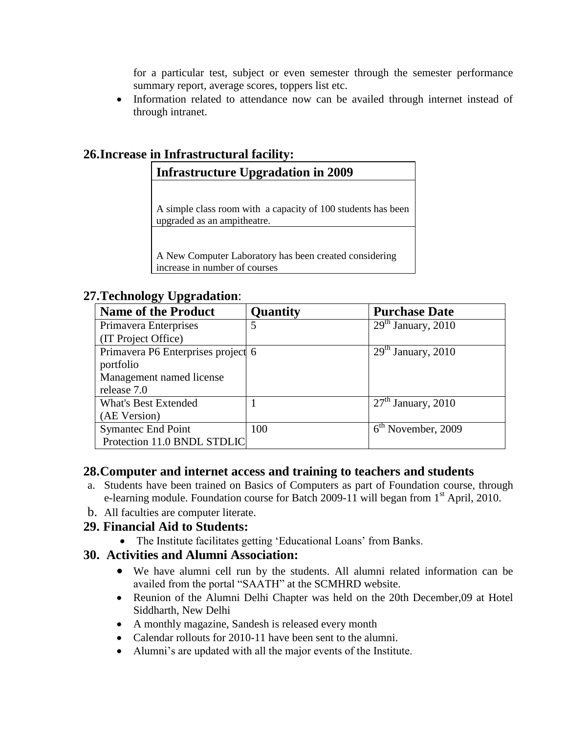for a particular test, subject or even semester through the semester performance summary report, average scores, toppers list etc.

• Information related to attendance now can be availed through internet instead of through intranet.

# **26.Increase in Infrastructural facility:**

## **Infrastructure Upgradation in 2009**

A simple class room with a capacity of 100 students has been upgraded as an ampitheatre.

A New Computer Laboratory has been created considering increase in number of courses

### **27.Technology Upgradation**:

| <b>Name of the Product</b>         | <b>Quantity</b> | <b>Purchase Date</b> |
|------------------------------------|-----------------|----------------------|
| Primavera Enterprises              | 5               | $29th$ January, 2010 |
| (IT Project Office)                |                 |                      |
| Primavera P6 Enterprises project 6 |                 | $29th$ January, 2010 |
| portfolio                          |                 |                      |
| Management named license           |                 |                      |
| release 7.0                        |                 |                      |
| <b>What's Best Extended</b>        |                 | $27th$ January, 2010 |
| (AE Version)                       |                 |                      |
| <b>Symantec End Point</b>          | 100             | $6th$ November, 2009 |
| Protection 11.0 BNDL STDLIC        |                 |                      |

#### **28.Computer and internet access and training to teachers and students**

- a. Students have been trained on Basics of Computers as part of Foundation course, through e-learning module. Foundation course for Batch 2009-11 will began from  $1<sup>st</sup>$  April, 2010.
- b. All faculties are computer literate.

### **29. Financial Aid to Students:**

• The Institute facilitates getting 'Educational Loans' from Banks.

### **30. Activities and Alumni Association:**

- We have alumni cell run by the students. All alumni related information can be availed from the portal "SAATH" at the SCMHRD website.
- Reunion of the Alumni Delhi Chapter was held on the 20th December, 09 at Hotel Siddharth, New Delhi
- A monthly magazine, Sandesh is released every month
- Calendar rollouts for 2010-11 have been sent to the alumni.
- Alumni's are updated with all the major events of the Institute.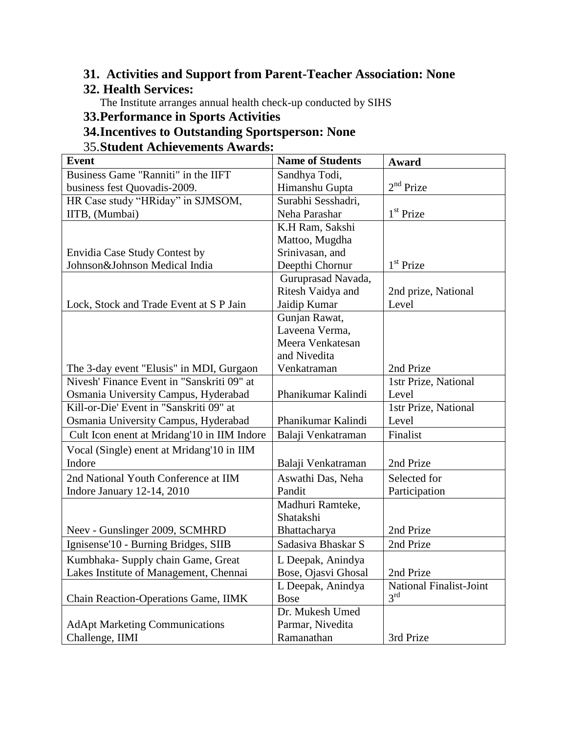# **31. Activities and Support from Parent-Teacher Association: None**

# **32. Health Services:**

The Institute arranges annual health check-up conducted by SIHS

# **33.Performance in Sports Activities**

# **34.Incentives to Outstanding Sportsperson: None**

## 35.**Student Achievements Awards:**

| <b>Event</b>                                | <b>Name of Students</b> | Award                   |
|---------------------------------------------|-------------------------|-------------------------|
| Business Game "Ranniti" in the IIFT         | Sandhya Todi,           |                         |
| business fest Quovadis-2009.                | Himanshu Gupta          | $2nd$ Prize             |
| HR Case study "HRiday" in SJMSOM,           | Surabhi Sesshadri,      |                         |
| IITB, (Mumbai)                              | Neha Parashar           | $1st$ Prize             |
|                                             | K.H Ram, Sakshi         |                         |
|                                             | Mattoo, Mugdha          |                         |
| Envidia Case Study Contest by               | Srinivasan, and         |                         |
| Johnson&Johnson Medical India               | Deepthi Chornur         | $1st$ Prize             |
|                                             | Guruprasad Navada,      |                         |
|                                             | Ritesh Vaidya and       | 2nd prize, National     |
| Lock, Stock and Trade Event at S P Jain     | Jaidip Kumar            | Level                   |
|                                             | Gunjan Rawat,           |                         |
|                                             | Laveena Verma,          |                         |
|                                             | Meera Venkatesan        |                         |
|                                             | and Nivedita            |                         |
| The 3-day event "Elusis" in MDI, Gurgaon    | Venkatraman             | 2nd Prize               |
| Nivesh' Finance Event in "Sanskriti 09" at  |                         | 1str Prize, National    |
| Osmania University Campus, Hyderabad        | Phanikumar Kalindi      | Level                   |
| Kill-or-Die' Event in "Sanskriti 09" at     |                         | 1str Prize, National    |
| Osmania University Campus, Hyderabad        | Phanikumar Kalindi      | Level                   |
| Cult Icon enent at Mridang'10 in IIM Indore | Balaji Venkatraman      | Finalist                |
| Vocal (Single) enent at Mridang'10 in IIM   |                         |                         |
| Indore                                      | Balaji Venkatraman      | 2nd Prize               |
| 2nd National Youth Conference at IIM        | Aswathi Das, Neha       | Selected for            |
| Indore January 12-14, 2010                  | Pandit                  | Participation           |
|                                             | Madhuri Ramteke,        |                         |
|                                             | Shatakshi               |                         |
| Neev - Gunslinger 2009, SCMHRD              | Bhattacharya            | 2nd Prize               |
| Ignisense'10 - Burning Bridges, SIIB        | Sadasiya Bhaskar S      | 2nd Prize               |
| Kumbhaka- Supply chain Game, Great          | L Deepak, Anindya       |                         |
| Lakes Institute of Management, Chennai      | Bose, Ojasvi Ghosal     | 2nd Prize               |
|                                             | L Deepak, Anindya       | National Finalist-Joint |
| Chain Reaction-Operations Game, IIMK        | <b>Bose</b>             | 3 <sup>rd</sup>         |
|                                             | Dr. Mukesh Umed         |                         |
| <b>AdApt Marketing Communications</b>       | Parmar, Nivedita        |                         |
| Challenge, IIMI                             | Ramanathan              | 3rd Prize               |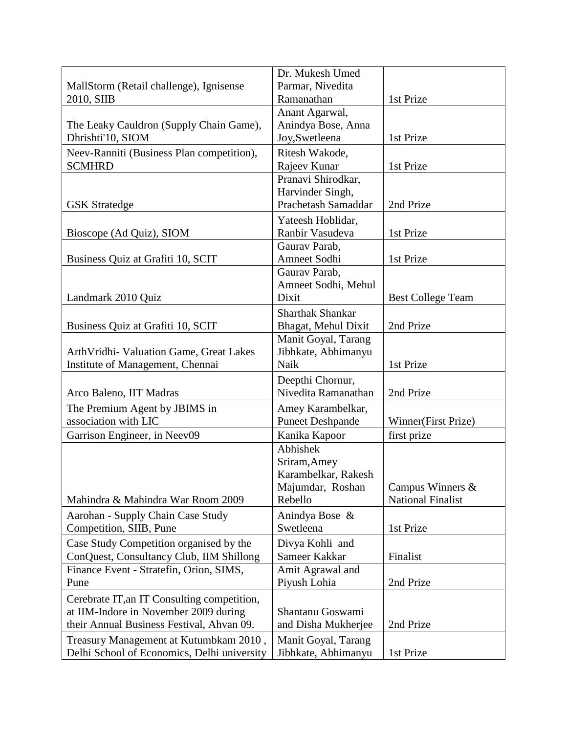|                                             | Dr. Mukesh Umed                         |                          |
|---------------------------------------------|-----------------------------------------|--------------------------|
| MallStorm (Retail challenge), Ignisense     | Parmar, Nivedita                        |                          |
| 2010, SIIB                                  | Ramanathan                              | 1st Prize                |
|                                             | Anant Agarwal,                          |                          |
| The Leaky Cauldron (Supply Chain Game),     | Anindya Bose, Anna                      |                          |
| Dhrishti'10, SIOM                           | Joy, Swetleena                          | 1st Prize                |
| Neev-Ranniti (Business Plan competition),   | Ritesh Wakode,                          |                          |
| <b>SCMHRD</b>                               | Rajeev Kunar                            | 1st Prize                |
|                                             | Pranavi Shirodkar.                      |                          |
|                                             | Harvinder Singh,                        |                          |
| <b>GSK</b> Stratedge                        | Prachetash Samaddar                     | 2nd Prize                |
|                                             | Yateesh Hoblidar,                       |                          |
| Bioscope (Ad Quiz), SIOM                    | Ranbir Vasudeva                         | 1st Prize                |
|                                             | Gaurav Parab,                           |                          |
| Business Quiz at Grafiti 10, SCIT           | Amneet Sodhi                            | 1st Prize                |
|                                             | Gaurav Parab,                           |                          |
|                                             | Amneet Sodhi, Mehul                     |                          |
| Landmark 2010 Quiz                          | Dixit                                   | <b>Best College Team</b> |
|                                             | <b>Sharthak Shankar</b>                 |                          |
| Business Quiz at Grafiti 10, SCIT           | Bhagat, Mehul Dixit                     | 2nd Prize                |
|                                             | Manit Goyal, Tarang                     |                          |
| ArthVridhi- Valuation Game, Great Lakes     | Jibhkate, Abhimanyu                     |                          |
| Institute of Management, Chennai            | Naik                                    | 1st Prize                |
|                                             |                                         |                          |
| Arco Baleno, IIT Madras                     | Deepthi Chornur,<br>Nivedita Ramanathan | 2nd Prize                |
|                                             |                                         |                          |
| The Premium Agent by JBIMS in               | Amey Karambelkar,                       |                          |
| association with LIC                        | <b>Puneet Deshpande</b>                 | Winner(First Prize)      |
| Garrison Engineer, in Neev09                | Kanika Kapoor                           | first prize              |
|                                             | Abhishek                                |                          |
|                                             | Sriram, Amey                            |                          |
|                                             | Karambelkar, Rakesh                     |                          |
|                                             | Majumdar, Roshan                        | Campus Winners $\&$      |
| Mahindra & Mahindra War Room 2009           | Rebello                                 | <b>National Finalist</b> |
| Aarohan - Supply Chain Case Study           | Anindya Bose &                          |                          |
| Competition, SIIB, Pune                     | Swetleena                               | 1st Prize                |
| Case Study Competition organised by the     | Divya Kohli and                         |                          |
| ConQuest, Consultancy Club, IIM Shillong    | Sameer Kakkar                           | Finalist                 |
| Finance Event - Stratefin, Orion, SIMS,     | Amit Agrawal and                        |                          |
| Pune                                        | Piyush Lohia                            | 2nd Prize                |
| Cerebrate IT, an IT Consulting competition, |                                         |                          |
| at IIM-Indore in November 2009 during       | Shantanu Goswami                        |                          |
| their Annual Business Festival, Ahvan 09.   | and Disha Mukherjee                     | 2nd Prize                |
| Treasury Management at Kutumbkam 2010,      | Manit Goyal, Tarang                     |                          |
| Delhi School of Economics, Delhi university | Jibhkate, Abhimanyu                     | 1st Prize                |
|                                             |                                         |                          |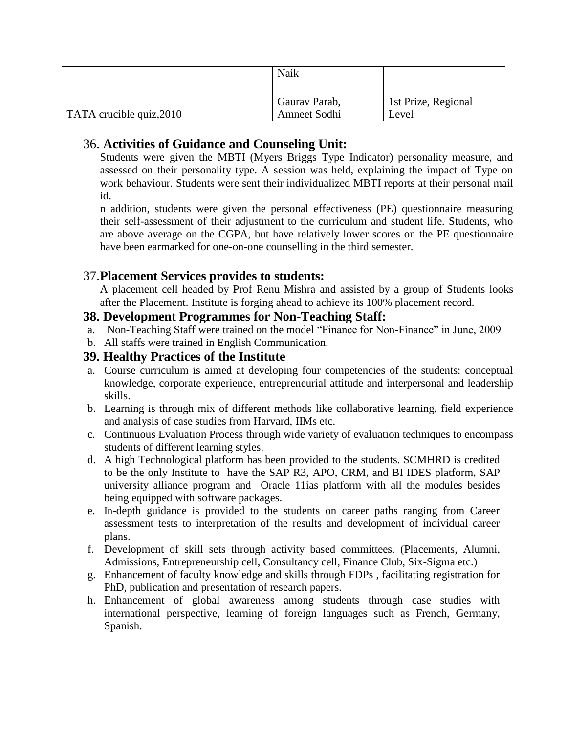|                                  | Naik                          |                              |
|----------------------------------|-------------------------------|------------------------------|
| $\vert$ TATA crucible quiz, 2010 | Gaurav Parab,<br>Amneet Sodhi | 1st Prize, Regional<br>Level |

# 36. **Activities of Guidance and Counseling Unit:**

Students were given the MBTI (Myers Briggs Type Indicator) personality measure, and assessed on their personality type. A session was held, explaining the impact of Type on work behaviour. Students were sent their individualized MBTI reports at their personal mail id.

n addition, students were given the personal effectiveness (PE) questionnaire measuring their self-assessment of their adjustment to the curriculum and student life. Students, who are above average on the CGPA, but have relatively lower scores on the PE questionnaire have been earmarked for one-on-one counselling in the third semester.

### 37.**Placement Services provides to students:**

A placement cell headed by Prof Renu Mishra and assisted by a group of Students looks after the Placement. Institute is forging ahead to achieve its 100% placement record.

#### **38. Development Programmes for Non-Teaching Staff:**

- a. Non-Teaching Staff were trained on the model "Finance for Non-Finance" in June, 2009
- b. All staffs were trained in English Communication.

#### **39. Healthy Practices of the Institute**

- a. Course curriculum is aimed at developing four competencies of the students: conceptual knowledge, corporate experience, entrepreneurial attitude and interpersonal and leadership skills.
- b. Learning is through mix of different methods like collaborative learning, field experience and analysis of case studies from Harvard, IIMs etc.
- c. Continuous Evaluation Process through wide variety of evaluation techniques to encompass students of different learning styles.
- d. A high Technological platform has been provided to the students. SCMHRD is credited to be the only Institute to have the SAP R3, APO, CRM, and BI IDES platform, SAP university alliance program and Oracle 11ias platform with all the modules besides being equipped with software packages.
- e. In-depth guidance is provided to the students on career paths ranging from Career assessment tests to interpretation of the results and development of individual career plans.
- f. Development of skill sets through activity based committees. (Placements, Alumni, Admissions, Entrepreneurship cell, Consultancy cell, Finance Club, Six-Sigma etc.)
- g. Enhancement of faculty knowledge and skills through FDPs , facilitating registration for PhD, publication and presentation of research papers.
- h. Enhancement of global awareness among students through case studies with international perspective, learning of foreign languages such as French, Germany, Spanish.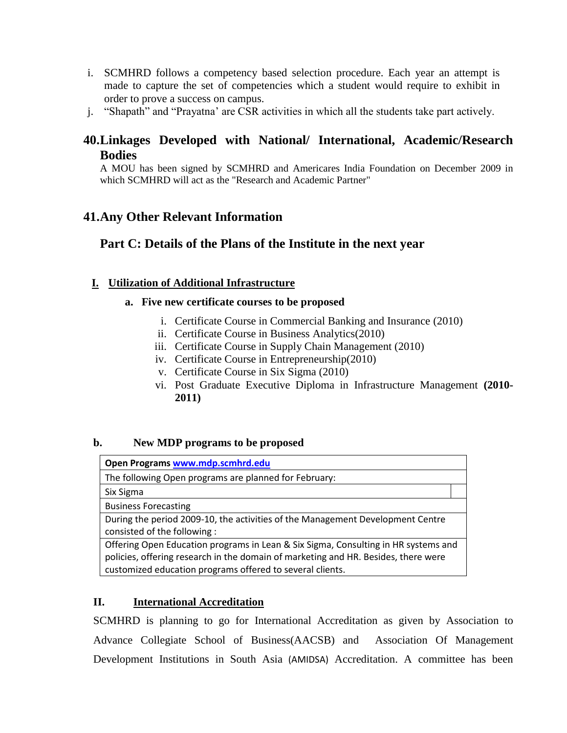- i. SCMHRD follows a competency based selection procedure. Each year an attempt is made to capture the set of competencies which a student would require to exhibit in order to prove a success on campus.
- j. "Shapath" and "Prayatna" are CSR activities in which all the students take part actively.

## **40.Linkages Developed with National/ International, Academic/Research Bodies**

A MOU has been signed by SCMHRD and Americares India Foundation on December 2009 in which SCMHRD will act as the "Research and Academic Partner"

## **41.Any Other Relevant Information**

## **Part C: Details of the Plans of the Institute in the next year**

#### **I. Utilization of Additional Infrastructure**

#### **a. Five new certificate courses to be proposed**

- i. Certificate Course in Commercial Banking and Insurance (2010)
- ii. Certificate Course in Business Analytics(2010)
- iii. Certificate Course in Supply Chain Management (2010)
- iv. Certificate Course in Entrepreneurship(2010)
- v. Certificate Course in Six Sigma (2010)
- vi. Post Graduate Executive Diploma in Infrastructure Management **(2010- 2011)**

#### **b. New MDP programs to be proposed**

| Open Programs www.mdp.scmhrd.edu                                                                                                                                                                                                      |  |
|---------------------------------------------------------------------------------------------------------------------------------------------------------------------------------------------------------------------------------------|--|
| The following Open programs are planned for February:                                                                                                                                                                                 |  |
| Six Sigma                                                                                                                                                                                                                             |  |
| <b>Business Forecasting</b>                                                                                                                                                                                                           |  |
| During the period 2009-10, the activities of the Management Development Centre<br>consisted of the following:                                                                                                                         |  |
| Offering Open Education programs in Lean & Six Sigma, Consulting in HR systems and<br>policies, offering research in the domain of marketing and HR. Besides, there were<br>customized education programs offered to several clients. |  |

#### **II. International Accreditation**

SCMHRD is planning to go for International Accreditation as given by Association to Advance Collegiate School of Business(AACSB) and Association Of Management Development Institutions in South Asia (AMIDSA) Accreditation. A committee has been